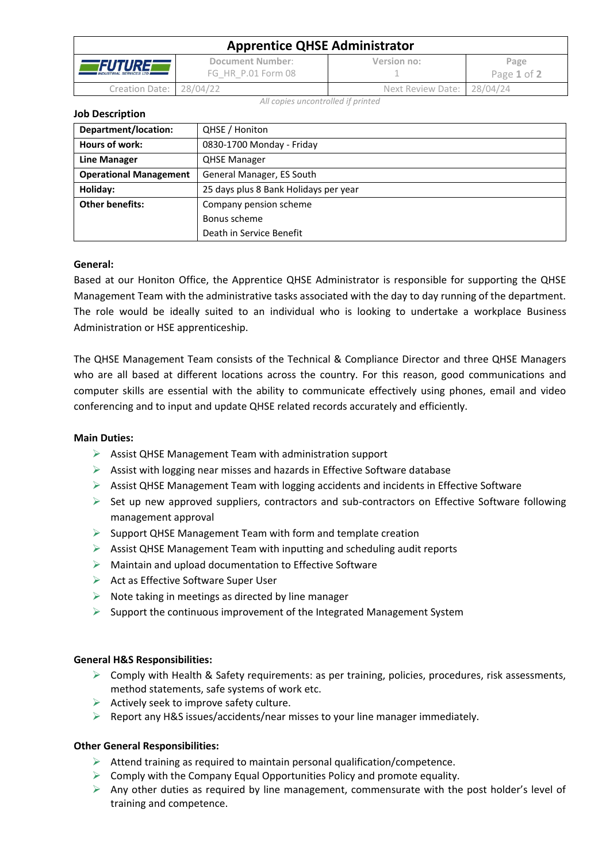| <b>Apprentice QHSE Administrator</b>                     |                                        |                            |                     |  |  |
|----------------------------------------------------------|----------------------------------------|----------------------------|---------------------|--|--|
| <i><b>FUTURE</b></i><br><b>INDUSTRIAL SERVICES LTD #</b> | Document Number:<br>FG HR P.01 Form 08 | Version no:                | Page<br>Page 1 of 2 |  |  |
| Creation Date: 28/04/22                                  |                                        | Next Review Date: 28/04/24 |                     |  |  |

*All copies uncontrolled if printed*

**Job Description**

| Department/location:          | QHSE / Honiton                        |  |  |
|-------------------------------|---------------------------------------|--|--|
| Hours of work:                | 0830-1700 Monday - Friday             |  |  |
| <b>Line Manager</b>           | <b>QHSE Manager</b>                   |  |  |
| <b>Operational Management</b> | General Manager, ES South             |  |  |
| Holiday:                      | 25 days plus 8 Bank Holidays per year |  |  |
| <b>Other benefits:</b>        | Company pension scheme                |  |  |
|                               | Bonus scheme                          |  |  |
|                               | Death in Service Benefit              |  |  |

## **General:**

Based at our Honiton Office, the Apprentice QHSE Administrator is responsible for supporting the QHSE Management Team with the administrative tasks associated with the day to day running of the department. The role would be ideally suited to an individual who is looking to undertake a workplace Business Administration or HSE apprenticeship.

The QHSE Management Team consists of the Technical & Compliance Director and three QHSE Managers who are all based at different locations across the country. For this reason, good communications and computer skills are essential with the ability to communicate effectively using phones, email and video conferencing and to input and update QHSE related records accurately and efficiently.

## **Main Duties:**

- ➢ Assist QHSE Management Team with administration support
- ➢ Assist with logging near misses and hazards in Effective Software database
- $\triangleright$  Assist QHSE Management Team with logging accidents and incidents in Effective Software
- $\triangleright$  Set up new approved suppliers, contractors and sub-contractors on Effective Software following management approval
- $\triangleright$  Support QHSE Management Team with form and template creation
- ➢ Assist QHSE Management Team with inputting and scheduling audit reports
- ➢ Maintain and upload documentation to Effective Software
- ➢ Act as Effective Software Super User
- $\triangleright$  Note taking in meetings as directed by line manager
- $\triangleright$  Support the continuous improvement of the Integrated Management System

## **General H&S Responsibilities:**

- $\triangleright$  Comply with Health & Safety requirements: as per training, policies, procedures, risk assessments, method statements, safe systems of work etc.
- $\triangleright$  Actively seek to improve safety culture.
- $\triangleright$  Report any H&S issues/accidents/near misses to your line manager immediately.

## **Other General Responsibilities:**

- $\triangleright$  Attend training as required to maintain personal qualification/competence.
- $\triangleright$  Comply with the Company Equal Opportunities Policy and promote equality.
- $\triangleright$  Any other duties as required by line management, commensurate with the post holder's level of training and competence.